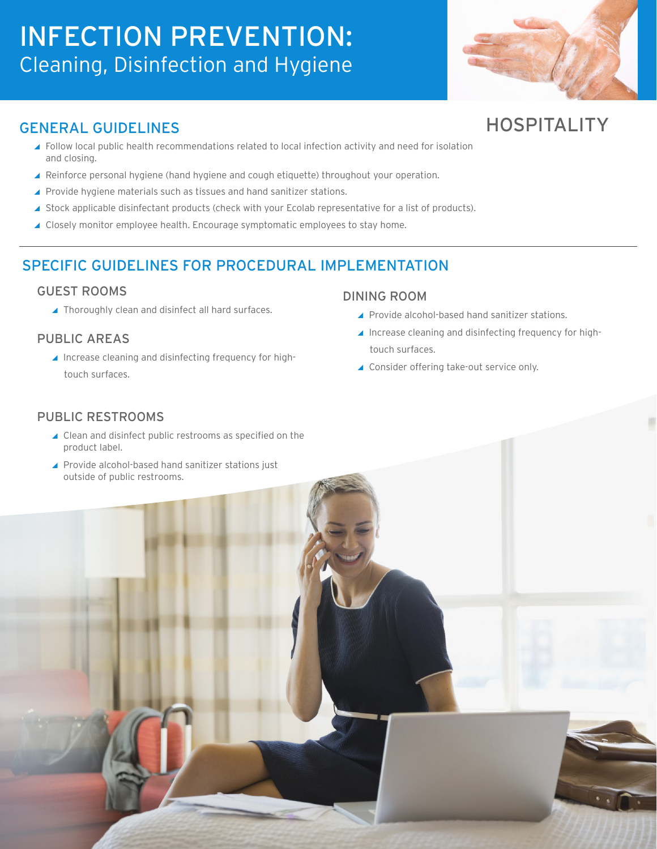# INFECTION PREVENTION: Cleaning, Disinfection and Hygiene



HOSPITALITY

## GENERAL GUIDELINES

- ▲ Follow local public health recommendations related to local infection activity and need for isolation and closing.
- ▲ Reinforce personal hygiene (hand hygiene and cough etiquette) throughout your operation.
- ▲ Provide hygiene materials such as tissues and hand sanitizer stations.
- ▲ Stock applicable disinfectant products (check with your Ecolab representative for a list of products).
- ▲ Closely monitor employee health. Encourage symptomatic employees to stay home.

## SPECIFIC GUIDELINES FOR PROCEDURAL IMPLEMENTATION

#### GUEST ROOMS

▲ Thoroughly clean and disinfect all hard surfaces.

#### PUBLIC AREAS

▲ Increase cleaning and disinfecting frequency for hightouch surfaces.

#### DINING ROOM

- ▲ Provide alcohol-based hand sanitizer stations.
- Increase cleaning and disinfecting frequency for hightouch surfaces.
- ▲ Consider offering take-out service only.

#### PUBLIC RESTROOMS

- ▲ Clean and disinfect public restrooms as specified on the product label.
- ▲ Provide alcohol-based hand sanitizer stations just outside of public restrooms.